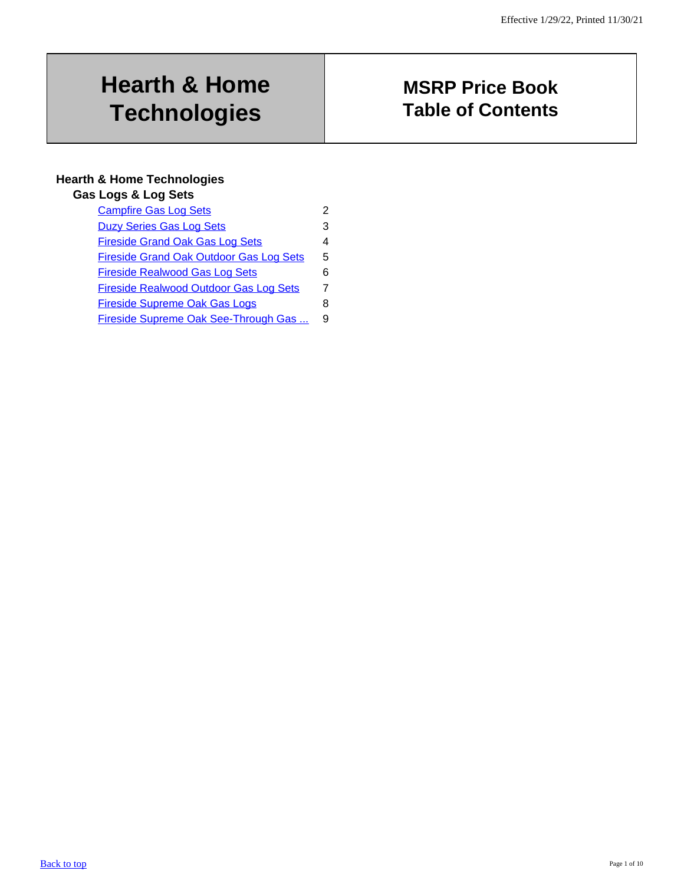# <span id="page-0-0"></span>**Hearth & Home Technologies**

# **MSRP Price Book Table of Contents**

## **Hearth & Home Technologies**

#### **Gas Logs & Log Sets**

| <b>Campfire Gas Log Sets</b>                   |   |
|------------------------------------------------|---|
| <b>Duzy Series Gas Log Sets</b>                | 3 |
| <b>Fireside Grand Oak Gas Log Sets</b>         | 4 |
| <b>Fireside Grand Oak Outdoor Gas Log Sets</b> | 5 |
| <b>Fireside Realwood Gas Log Sets</b>          | 6 |
| <b>Fireside Realwood Outdoor Gas Log Sets</b>  | 7 |
| <b>Fireside Supreme Oak Gas Logs</b>           | 8 |
| Fireside Supreme Oak See-Through Gas           | 9 |
|                                                |   |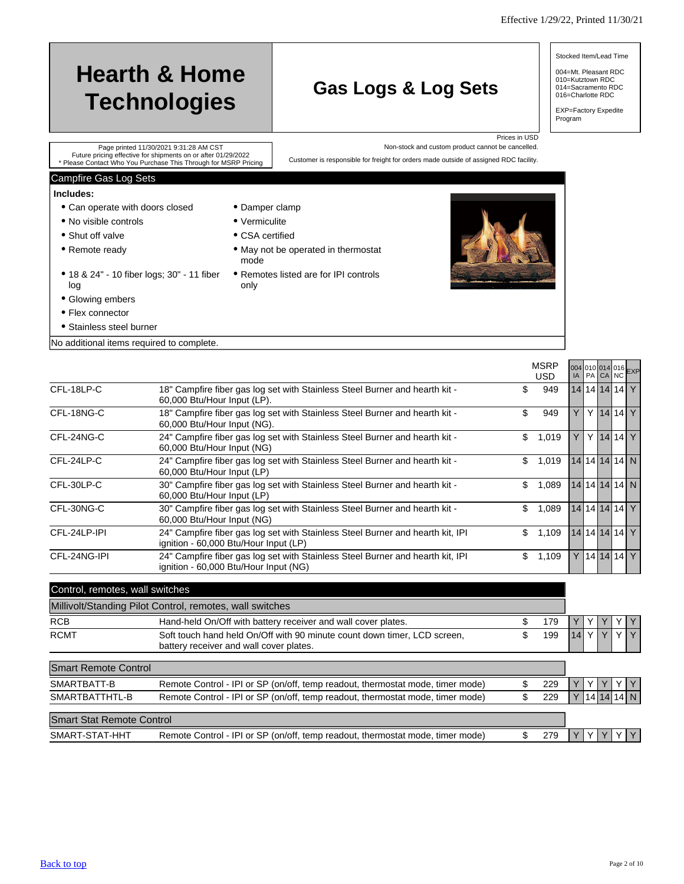Stocked Item/Lead Time

004=Mt. Pleasant RDC 010=Kutztown RDC 014=Sacramento RDC 016=Charlotte RDC

EXP=Factory Expedite Program

| <b>Hearth &amp; Home</b><br><b>Technologies</b>                                                         |                       | <b>Gas Logs &amp; Log Sets</b>                                                        |                                                                    |
|---------------------------------------------------------------------------------------------------------|-----------------------|---------------------------------------------------------------------------------------|--------------------------------------------------------------------|
| Page printed 11/30/2021 9:31:28 AM CST<br>Future pricing effective for shipments on or after 01/29/2022 |                       |                                                                                       | Prices in USD<br>Non-stock and custom product cannot be cancelled. |
| * Please Contact Who You Purchase This Through for MSRP Pricing                                         |                       | Customer is responsible for freight for orders made outside of assigned RDC facility. |                                                                    |
| Campfire Gas Log Sets                                                                                   |                       |                                                                                       |                                                                    |
| Includes:                                                                                               |                       |                                                                                       |                                                                    |
| • Can operate with doors closed                                                                         | • Damper clamp        |                                                                                       |                                                                    |
| • No visible controls                                                                                   | $\bullet$ Vermiculite |                                                                                       |                                                                    |
| • Shut off valve                                                                                        | • CSA certified       |                                                                                       |                                                                    |
| • Remote ready                                                                                          | mode                  | • May not be operated in thermostat                                                   |                                                                    |

only

- <span id="page-1-0"></span>18 & 24" - 10 fiber logs; 30" - 11 fiber Remotes listed are for IPI controls log
- Glowing embers
- Flex connector
- Stainless steel burner

No additional items required to complete.

|              |                                                                                                                         | <b>MSRP</b><br>USD. |  |  | 004 010 014 016 EXP |
|--------------|-------------------------------------------------------------------------------------------------------------------------|---------------------|--|--|---------------------|
| CFL-18LP-C   | 18" Campfire fiber gas log set with Stainless Steel Burner and hearth kit -<br>60,000 Btu/Hour Input (LP).              | \$<br>949           |  |  | 14 14 14 14 Y       |
| CFL-18NG-C   | 18" Campfire fiber gas log set with Stainless Steel Burner and hearth kit -<br>60,000 Btu/Hour Input (NG).              | \$<br>949           |  |  | $Y$ 14 14 Y         |
| CFL-24NG-C   | 24" Campfire fiber gas log set with Stainless Steel Burner and hearth kit -<br>60,000 Btu/Hour Input (NG)               | \$<br>1,019         |  |  | $Y$ 14 14 $Y$       |
| CFL-24LP-C   | 24" Campfire fiber gas log set with Stainless Steel Burner and hearth kit -<br>60,000 Btu/Hour Input (LP)               | \$<br>1.019         |  |  | 14 14 14 14 N       |
| CFL-30LP-C   | 30" Campfire fiber gas log set with Stainless Steel Burner and hearth kit -<br>60,000 Btu/Hour Input (LP)               | \$<br>1,089         |  |  | 14 14 14 14 N       |
| CFL-30NG-C   | 30" Campfire fiber gas log set with Stainless Steel Burner and hearth kit -<br>60,000 Btu/Hour Input (NG)               | \$<br>1.089         |  |  | 14 14 14 14 Y       |
| CFL-24LP-IPI | 24" Campfire fiber gas log set with Stainless Steel Burner and hearth kit, IPI<br>ignition - 60,000 Btu/Hour Input (LP) | \$<br>1.109         |  |  | 14 14 14 14 Y       |
| CFL-24NG-IPI | 24" Campfire fiber gas log set with Stainless Steel Burner and hearth kit, IPI<br>ignition - 60,000 Btu/Hour Input (NG) | \$<br>1,109         |  |  | $Y$  14 14 14 Y     |

| COTTUOI, TEITIOLES, WAILS WILCHES |                                                                                                                     |     |    |  |              |                      |
|-----------------------------------|---------------------------------------------------------------------------------------------------------------------|-----|----|--|--------------|----------------------|
|                                   | Millivolt/Standing Pilot Control, remotes, wall switches                                                            |     |    |  |              |                      |
| <b>RCB</b>                        | Hand-held On/Off with battery receiver and wall cover plates.                                                       | 179 |    |  |              | Y                    |
| <b>RCMT</b>                       | Soft touch hand held On/Off with 90 minute count down timer, LCD screen,<br>battery receiver and wall cover plates. | 199 | 14 |  | $\checkmark$ | Y                    |
| <b>Smart Remote Control</b>       |                                                                                                                     |     |    |  |              |                      |
| SMARTBATT-B                       | Remote Control - IPI or SP (on/off, temp readout, thermostat mode, timer mode)                                      | 229 |    |  |              | Y                    |
| SMARTBATTHTL-B                    | Remote Control - IPI or SP (on/off, temp readout, thermostat mode, timer mode)                                      | 229 |    |  |              | Y   14   14   14   N |
| <b>Smart Stat Remote Control</b>  |                                                                                                                     |     |    |  |              |                      |
| SMART-STAT-HHT                    | Remote Control - IPI or SP (on/off, temp readout, thermostat mode, timer mode)                                      | 279 |    |  |              | Y                    |

 $C_{\text{optroll}}$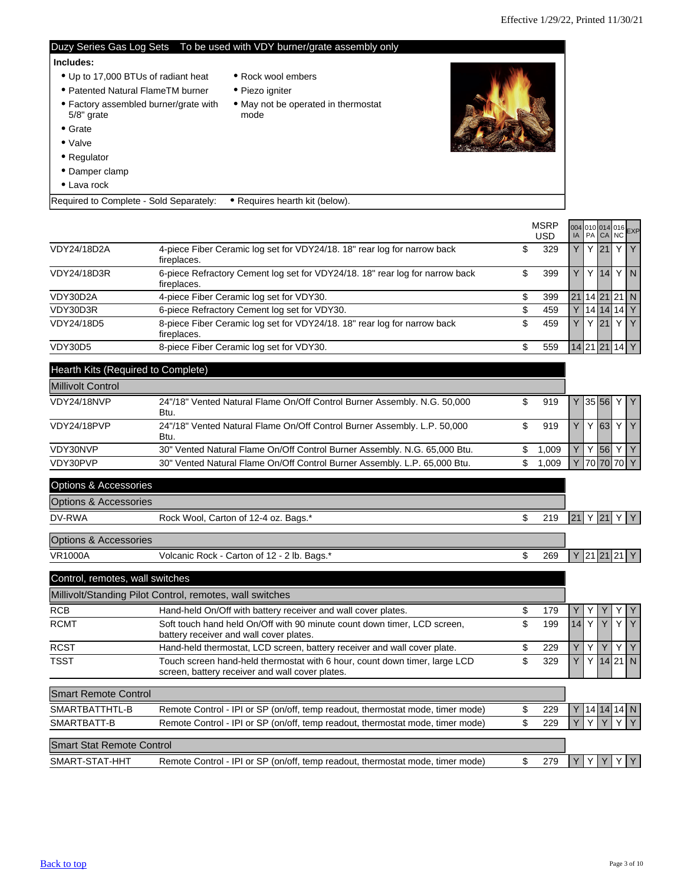<span id="page-2-0"></span>

|                                                          |                                                                                                                   | Duzy Series Gas Log Sets To be used with VDY burner/grate assembly only              |    |                           |                     |        |   |              |
|----------------------------------------------------------|-------------------------------------------------------------------------------------------------------------------|--------------------------------------------------------------------------------------|----|---------------------------|---------------------|--------|---|--------------|
| Includes:<br>$5/8$ " grate<br>$\bullet$ Grate<br>• Valve | • Up to 17,000 BTUs of radiant heat<br>• Patented Natural FlameTM burner<br>• Factory assembled burner/grate with | • Rock wool embers<br>• Piezo igniter<br>• May not be operated in thermostat<br>mode |    |                           |                     |        |   |              |
| • Regulator<br>• Damper clamp<br>• Lava rock             |                                                                                                                   |                                                                                      |    |                           |                     |        |   |              |
|                                                          | Required to Complete - Sold Separately:                                                                           | • Requires hearth kit (below).                                                       |    |                           |                     |        |   |              |
|                                                          |                                                                                                                   |                                                                                      |    | <b>MSRP</b><br><b>USD</b> | 004 010 014 016 EXP |        |   |              |
| VDY24/18D2A                                              | fireplaces.                                                                                                       | 4-piece Fiber Ceramic log set for VDY24/18. 18" rear log for narrow back             | \$ | 329                       |                     | $Y$ 21 | Y | $\mathsf{Y}$ |
| VDY24/18D3R                                              |                                                                                                                   | 6-piece Refractory Cement log set for VDY24/18. 18" rear log for narrow back         | \$ | 399                       |                     | Y 14   |   | YN           |

| VDY24/18D3R | 6-piece Refractory Cement log set for VDY24/18. 18" rear log for narrow back<br>fireplaces. | 399 |  |                | Y 141 Y I N   |
|-------------|---------------------------------------------------------------------------------------------|-----|--|----------------|---------------|
| VDY30D2A    | 4-piece Fiber Ceramic log set for VDY30.                                                    | 399 |  |                | 21 14 21 21 N |
| VDY30D3R    | 6-piece Refractory Cement log set for VDY30.                                                | 459 |  | 14 14 14 Y     |               |
| VDY24/18D5  | 8-piece Fiber Ceramic log set for VDY24/18. 18" rear log for narrow back<br>fireplaces.     | 459 |  | $Y$ 21 $Y$ $Y$ |               |
| VDY30D5     | 8-piece Fiber Ceramic log set for VDY30.                                                    | 559 |  | 14 21 21 14 Y  |               |

| Hearth Kits (Required to Complete) |                                                                                  |      |  |            |             |
|------------------------------------|----------------------------------------------------------------------------------|------|--|------------|-------------|
| <b>Millivolt Control</b>           |                                                                                  |      |  |            |             |
| VDY24/18NVP                        | 24"/18" Vented Natural Flame On/Off Control Burner Assembly. N.G. 50,000<br>Btu. | 919  |  |            | Y 35 56 Y Y |
| VDY24/18PVP                        | 24"/18" Vented Natural Flame On/Off Control Burner Assembly. L.P. 50,000<br>Btu. | 919  |  | 63         | YY          |
| VDY30NVP                           | 30" Vented Natural Flame On/Off Control Burner Assembly. N.G. 65,000 Btu.        | .009 |  | 56         | <b>VV</b>   |
| VDY30PVP                           | 30" Vented Natural Flame On/Off Control Burner Assembly. L.P. 65,000 Btu.        | .009 |  | 70 70 70 Y |             |

| <b>Options &amp; Accessories</b> |                                                                                                                               |           |    |              |         |    |              |
|----------------------------------|-------------------------------------------------------------------------------------------------------------------------------|-----------|----|--------------|---------|----|--------------|
| <b>Options &amp; Accessories</b> |                                                                                                                               |           |    |              |         |    |              |
| DV-RWA                           | Rock Wool, Carton of 12-4 oz. Bags.*                                                                                          | \$<br>219 | 21 | Y            | 21      |    |              |
| <b>Options &amp; Accessories</b> |                                                                                                                               |           |    |              |         |    |              |
| <b>VR1000A</b>                   | Volcanic Rock - Carton of 12 - 2 lb. Bags.*                                                                                   | \$<br>269 |    |              | Y 21 21 |    | 21[Y]        |
| Control, remotes, wall switches  |                                                                                                                               |           |    |              |         |    |              |
|                                  | Millivolt/Standing Pilot Control, remotes, wall switches                                                                      |           |    |              |         |    |              |
| <b>RCB</b>                       | Hand-held On/Off with battery receiver and wall cover plates.                                                                 | \$<br>179 |    | Y            |         |    | Y            |
| <b>RCMT</b>                      | Soft touch hand held On/Off with 90 minute count down timer, LCD screen,<br>battery receiver and wall cover plates.           | \$<br>199 | 14 | $\mathsf{Y}$ | Y       | Y. | Y            |
| <b>RCST</b>                      | Hand-held thermostat, LCD screen, battery receiver and wall cover plate.                                                      | \$<br>229 | Y  | Y            | Y       |    | YY           |
| <b>TSST</b>                      | Touch screen hand-held thermostat with 6 hour, count down timer, large LCD<br>screen, battery receiver and wall cover plates. | \$<br>329 |    | Y            |         |    | $14$ 21 N    |
| <b>Smart Remote Control</b>      |                                                                                                                               |           |    |              |         |    |              |
| SMARTBATTHTL-B                   | Remote Control - IPI or SP (on/off, temp readout, thermostat mode, timer mode)                                                | \$<br>229 |    |              |         |    | Y 14 14 14 N |
| SMARTBATT-B                      | Remote Control - IPI or SP (on/off, temp readout, thermostat mode, timer mode)                                                | \$<br>229 |    | Y            |         |    |              |
| <b>Smart Stat Remote Control</b> |                                                                                                                               |           |    |              |         |    |              |

SMART-STAT-HHT Remote Control - IPI or SP (on/off, temp readout, thermostat mode, timer mode) \$ 279 Y Y Y Y Y Y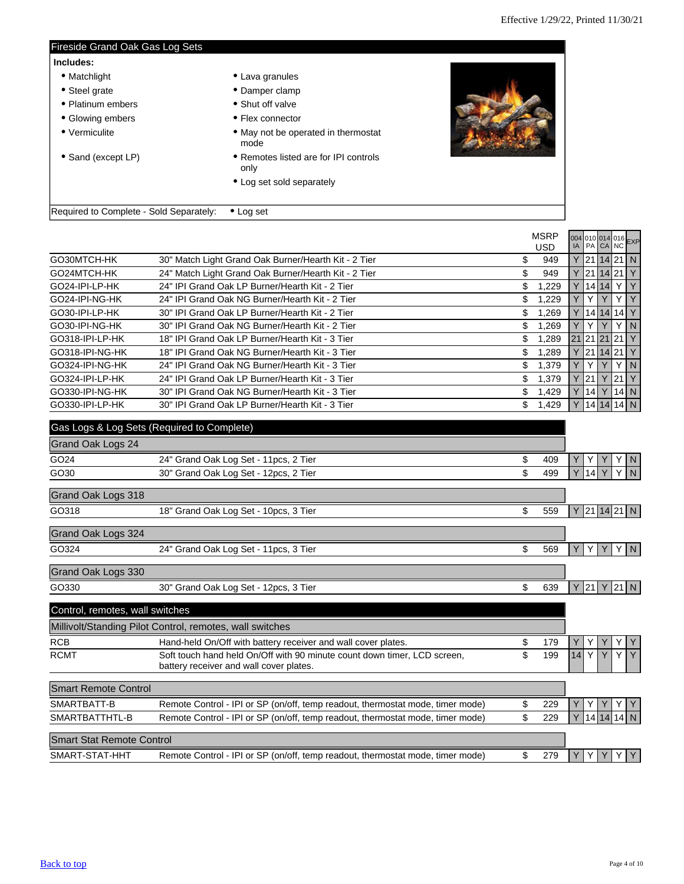$\blacksquare$ 

<span id="page-3-0"></span>

| Fireside Grand Oak Gas Log Sets         |                                               |              |
|-----------------------------------------|-----------------------------------------------|--------------|
| Includes:                               |                                               |              |
| • Matchlight                            | • Lava granules                               |              |
| • Steel grate                           | • Damper clamp                                |              |
| • Platinum embers                       | • Shut off valve                              |              |
| • Glowing embers                        | • Flex connector                              |              |
| • Vermiculite                           | • May not be operated in thermostat<br>mode   |              |
| • Sand (except LP)                      | • Remotes listed are for IPI controls<br>only |              |
|                                         | • Log set sold separately                     |              |
| Required to Complete - Sold Separately: | $\bullet$ Log set                             |              |
|                                         |                                               | $\mathbf{M}$ |

|                 |                                                      | MSRP        | 004 010 014 016 EXP |            |  |                  |
|-----------------|------------------------------------------------------|-------------|---------------------|------------|--|------------------|
|                 |                                                      | <b>USD</b>  |                     |            |  |                  |
| GO30MTCH-HK     | 30" Match Light Grand Oak Burner/Hearth Kit - 2 Tier | \$<br>949   |                     |            |  | 21 14 21 N       |
| GO24MTCH-HK     | 24" Match Light Grand Oak Burner/Hearth Kit - 2 Tier | S<br>949    |                     | 21 14 21 Y |  |                  |
| GO24-IPI-LP-HK  | 24" IPI Grand Oak LP Burner/Hearth Kit - 2 Tier      | \$<br>1.229 |                     |            |  | $14 14 $ Y $ $ Y |
| GO24-IPI-NG-HK  | 24" IPI Grand Oak NG Burner/Hearth Kit - 2 Tier      | \$<br>,229  |                     | Y          |  | YY               |
| GO30-IPI-LP-HK  | 30" IPI Grand Oak LP Burner/Hearth Kit - 2 Tier      | \$<br>.269  |                     |            |  | Y 14 14 14 Y     |
| GO30-IPI-NG-HK  | 30" IPI Grand Oak NG Burner/Hearth Kit - 2 Tier      | \$<br>.269  |                     | Υ          |  | YN               |
| GO318-IPI-LP-HK | 18" IPI Grand Oak LP Burner/Hearth Kit - 3 Tier      | \$<br>1,289 | 21 21 21 21 Y       |            |  |                  |
| GO318-IPI-NG-HK | 18" IPI Grand Oak NG Burner/Hearth Kit - 3 Tier      | \$<br>.289  |                     | 21 14 21 Y |  |                  |
| GO324-IPI-NG-HK | 24" IPI Grand Oak NG Burner/Hearth Kit - 3 Tier      | \$<br>1.379 |                     | Υ          |  | YN               |
| GO324-IPI-LP-HK | 24" IPI Grand Oak LP Burner/Hearth Kit - 3 Tier      | \$<br>1.379 |                     | 21         |  | 21 Y             |
| GO330-IPI-NG-HK | 30" IPI Grand Oak NG Burner/Hearth Kit - 3 Tier      | \$<br>1.429 |                     |            |  | 14 Y 14 N        |
| GO330-IPI-LP-HK | 30" IPI Grand Oak LP Burner/Hearth Kit - 3 Tier      | \$<br>1,429 |                     |            |  | 14 14 14 N       |
|                 |                                                      |             |                     |            |  |                  |

|                    | Gas Logs & Log Sets (Required to Complete) |     |                      |
|--------------------|--------------------------------------------|-----|----------------------|
| Grand Oak Logs 24  |                                            |     |                      |
| GO24               | 24" Grand Oak Log Set - 11pcs, 2 Tier      | 409 | YN                   |
| GO30               | 30" Grand Oak Log Set - 12pcs, 2 Tier      | 499 | YN<br><b>Y</b><br>14 |
| Grand Oak Logs 318 |                                            |     |                      |
| GO318              | 18" Grand Oak Log Set - 10pcs, 3 Tier      | 559 | 21 14 21 N           |
| Grand Oak Logs 324 |                                            |     |                      |

| GO324              | 24" Grand Oak Log Set - 11pcs, 3 Tier | 569 | $\vee$<br>VVI<br>YIN |
|--------------------|---------------------------------------|-----|----------------------|
| Grand Oak Logs 330 |                                       |     |                      |
| GO330              | 30" Grand Oak Log Set - 12pcs, 3 Tier | 639 | Y 21 Y 21 N          |

| Control, remotes, wall switches  |                                                                                                                     |   |     |    |  |              |              |
|----------------------------------|---------------------------------------------------------------------------------------------------------------------|---|-----|----|--|--------------|--------------|
|                                  | Millivolt/Standing Pilot Control, remotes, wall switches                                                            |   |     |    |  |              |              |
| <b>RCB</b>                       | Hand-held On/Off with battery receiver and wall cover plates.                                                       | S | 179 |    |  |              | Y            |
| <b>RCMT</b>                      | Soft touch hand held On/Off with 90 minute count down timer, LCD screen,<br>battery receiver and wall cover plates. | S | 199 | 14 |  | $\checkmark$ | Y            |
| <b>Smart Remote Control</b>      |                                                                                                                     |   |     |    |  |              |              |
| SMARTBATT-B                      | Remote Control - IPI or SP (on/off, temp readout, thermostat mode, timer mode)                                      |   | 229 |    |  |              | 1Y           |
| SMARTBATTHTL-B                   | Remote Control - IPI or SP (on/off, temp readout, thermostat mode, timer mode)                                      |   | 229 |    |  |              | Y 14 14 14 N |
| <b>Smart Stat Remote Control</b> |                                                                                                                     |   |     |    |  |              |              |
| SMART-STAT-HHT                   | Remote Control - IPI or SP (on/off, temp readout, thermostat mode, timer mode)                                      |   | 279 |    |  |              | Y            |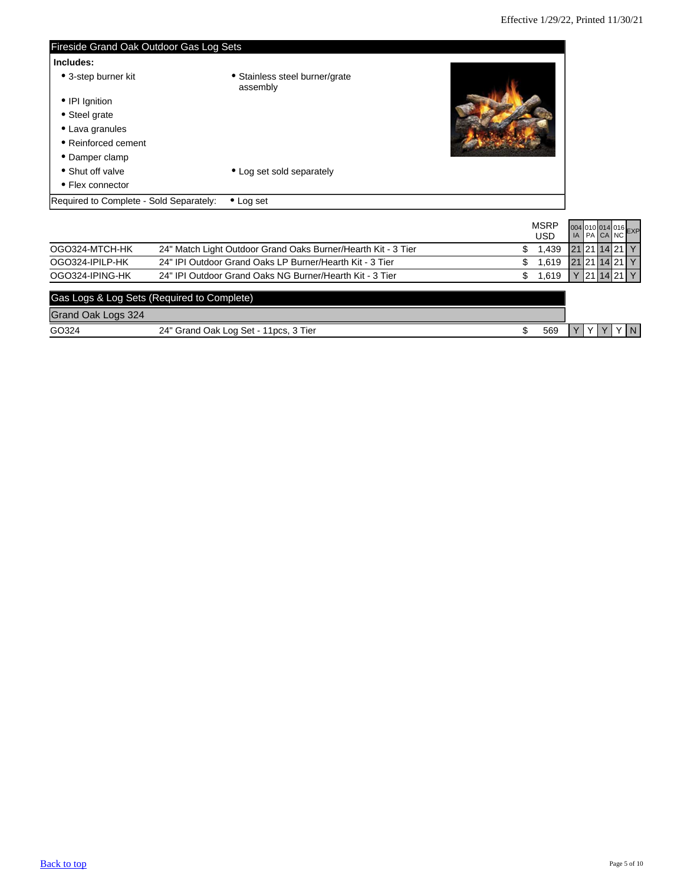<span id="page-4-0"></span>

| Fireside Grand Oak Outdoor Gas Log Sets |                                            |  |
|-----------------------------------------|--------------------------------------------|--|
| Includes:                               |                                            |  |
| • 3-step burner kit                     | • Stainless steel burner/grate<br>assembly |  |
| • IPI Ignition                          |                                            |  |
| • Steel grate                           |                                            |  |
| • Lava granules                         |                                            |  |
| • Reinforced cement                     |                                            |  |
| • Damper clamp                          |                                            |  |
| • Shut off valve                        | • Log set sold separately                  |  |
| • Flex connector                        |                                            |  |
| Required to Complete - Sold Separately: | $\bullet$ Log set                          |  |
|                                         |                                            |  |

|                    |                                                               |              |               |  | 004 010 014 016 EXP |
|--------------------|---------------------------------------------------------------|--------------|---------------|--|---------------------|
|                    |                                                               | <b>USD</b>   |               |  |                     |
| OGO324-MTCH-HK     | 24" Match Light Outdoor Grand Oaks Burner/Hearth Kit - 3 Tier | 1.439<br>S.  |               |  | 21211421Y           |
| OGO324-IPILP-HK    | 24" IPI Outdoor Grand Oaks LP Burner/Hearth Kit - 3 Tier      | 1.619<br>S   | 21 21 14 21 Y |  |                     |
| OGO324-IPING-HK    | 24" IPI Outdoor Grand Oaks NG Burner/Hearth Kit - 3 Tier      | 1.619<br>\$. |               |  | 121114211Y          |
|                    | Gas Logs & Log Sets (Required to Complete)                    |              |               |  |                     |
| Grand Oak Logs 324 |                                                               |              |               |  |                     |
| GO324              | 24" Grand Oak Log Set - 11pcs, 3 Tier                         | 569          |               |  | YN                  |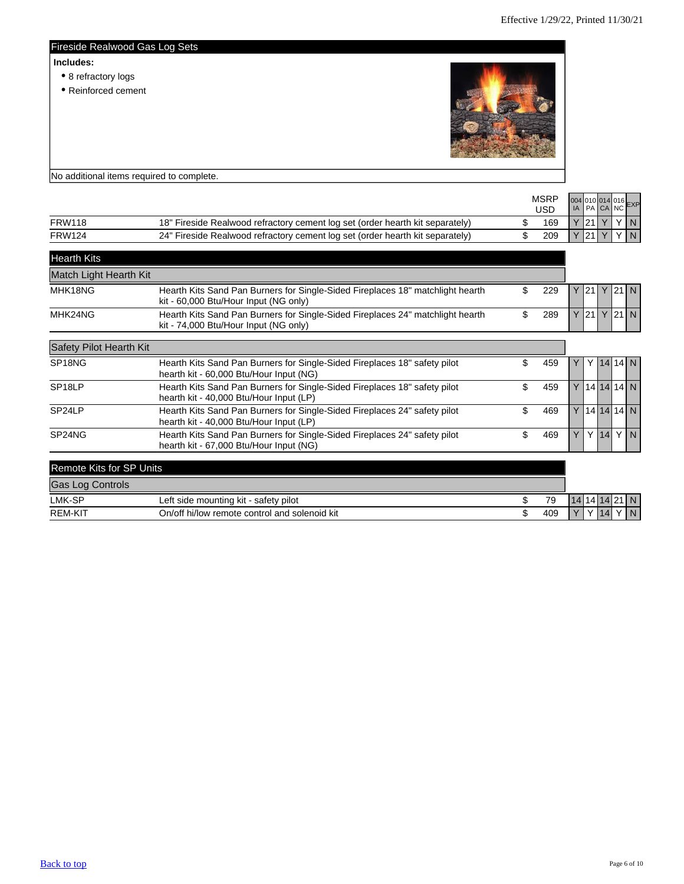<span id="page-5-0"></span>

| Includes:<br>• 8 refractory logs<br>• Reinforced cement |  |
|---------------------------------------------------------|--|
| No additional items required to complete.               |  |

|               |                                                                               | <b>MSRP</b><br>USD | 004 010 014 016 EXP |           |  |
|---------------|-------------------------------------------------------------------------------|--------------------|---------------------|-----------|--|
| FRW118        | 18" Fireside Realwood refractory cement log set (order hearth kit separately) | 169                |                     | Y21 Y Y N |  |
| <b>FRW124</b> | 24" Fireside Realwood refractory cement log set (order hearth kit separately) | 209                |                     | Y21 Y Y N |  |
|               |                                                                               |                    |                     |           |  |

| <b>Hearth Kits</b>              |                                                                                                                         |           |               |                  |        |             |             |
|---------------------------------|-------------------------------------------------------------------------------------------------------------------------|-----------|---------------|------------------|--------|-------------|-------------|
| Match Light Hearth Kit          |                                                                                                                         |           |               |                  |        |             |             |
| MHK18NG                         | Hearth Kits Sand Pan Burners for Single-Sided Fireplaces 18" matchlight hearth<br>kit - 60,000 Btu/Hour Input (NG only) | \$<br>229 |               | $Y$ 21 Y         |        | 21 N        |             |
| MHK24NG                         | Hearth Kits Sand Pan Burners for Single-Sided Fireplaces 24" matchlight hearth<br>kit - 74,000 Btu/Hour Input (NG only) | \$<br>289 |               | $Y$ 21 Y         |        | 21 N        |             |
| Safety Pilot Hearth Kit         |                                                                                                                         |           |               |                  |        |             |             |
| SP <sub>18</sub> NG             | Hearth Kits Sand Pan Burners for Single-Sided Fireplaces 18" safety pilot<br>hearth kit - 60,000 Btu/Hour Input (NG)    | \$<br>459 | Y.            |                  |        | $Y$ 14 14 N |             |
| SP <sub>18LP</sub>              | Hearth Kits Sand Pan Burners for Single-Sided Fireplaces 18" safety pilot<br>hearth kit - 40,000 Btu/Hour Input (LP)    | \$<br>459 |               | $Y$  14 14 14  N |        |             |             |
| SP24LP                          | Hearth Kits Sand Pan Burners for Single-Sided Fireplaces 24" safety pilot<br>hearth kit - 40,000 Btu/Hour Input (LP)    | \$<br>469 |               | $Y$  14 14 14  N |        |             |             |
| SP24NG                          | Hearth Kits Sand Pan Burners for Single-Sided Fireplaces 24" safety pilot<br>hearth kit - 67,000 Btu/Hour Input (NG)    | \$<br>469 | Y             |                  | $Y$ 14 |             | YN          |
| <b>Remote Kits for SP Units</b> |                                                                                                                         |           |               |                  |        |             |             |
| <b>Gas Log Controls</b>         |                                                                                                                         |           |               |                  |        |             |             |
| LMK-SP                          | Left side mounting kit - safety pilot                                                                                   | \$<br>79  | 14 14 14 21 N |                  |        |             |             |
| <b>REM-KIT</b>                  | On/off hi/low remote control and solenoid kit                                                                           | \$<br>409 |               |                  | 14     |             | $\mathbf N$ |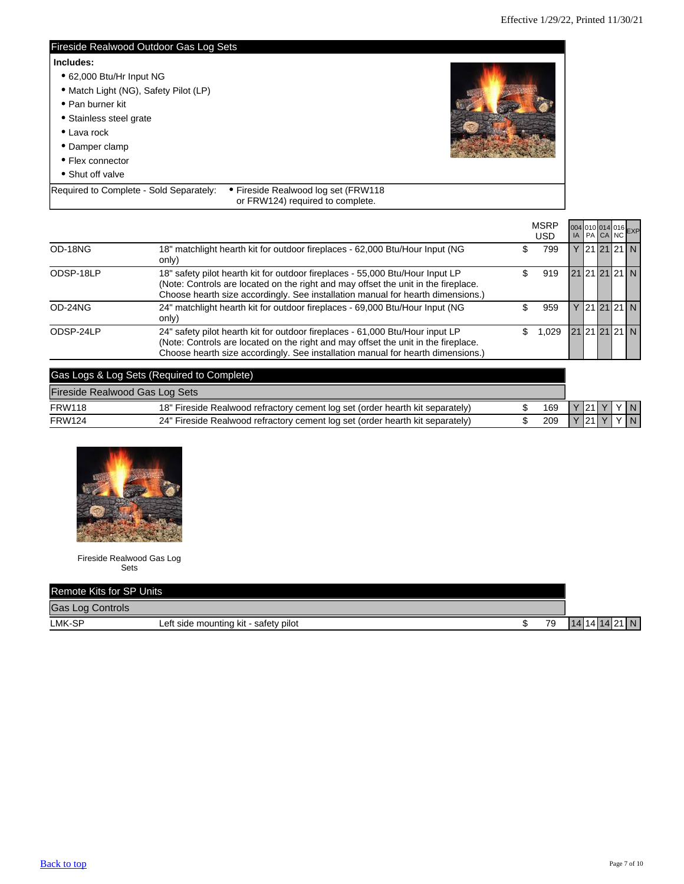<span id="page-6-0"></span>

| Fireside Realwood Outdoor Gas Log Sets  |                                                                         |  |
|-----------------------------------------|-------------------------------------------------------------------------|--|
| Includes:                               |                                                                         |  |
| • 62,000 Btu/Hr Input NG                |                                                                         |  |
| • Match Light (NG), Safety Pilot (LP)   |                                                                         |  |
| • Pan burner kit                        |                                                                         |  |
| • Stainless steel grate                 |                                                                         |  |
| $\bullet$ Lava rock                     |                                                                         |  |
| • Damper clamp                          |                                                                         |  |
| • Flex connector                        |                                                                         |  |
| • Shut off valve                        |                                                                         |  |
| Required to Complete - Sold Separately: | • Fireside Realwood log set (FRW118<br>or FRW124) required to complete. |  |

|           |                                                                                                                                                                                                                                                        |     | <b>MSRP</b><br>USD |  |  | 004 010 014 016 EXP |
|-----------|--------------------------------------------------------------------------------------------------------------------------------------------------------------------------------------------------------------------------------------------------------|-----|--------------------|--|--|---------------------|
| OD-18NG   | 18" matchlight hearth kit for outdoor fireplaces - 62,000 Btu/Hour Input (NG<br>only)                                                                                                                                                                  |     | 799                |  |  | Y 21 21 21 N        |
| ODSP-18LP | 18" safety pilot hearth kit for outdoor fireplaces - 55,000 Btu/Hour Input LP<br>(Note: Controls are located on the right and may offset the unit in the fireplace.<br>Choose hearth size accordingly. See installation manual for hearth dimensions.) |     | 919                |  |  | 21 21 21 21 N       |
| OD-24NG   | 24" matchlight hearth kit for outdoor fireplaces - 69,000 Btu/Hour Input (NG<br>only)                                                                                                                                                                  |     | 959                |  |  | Y 21 21 21 N        |
| ODSP-24LP | 24" safety pilot hearth kit for outdoor fireplaces - 61,000 Btu/Hour input LP<br>(Note: Controls are located on the right and may offset the unit in the fireplace.<br>Choose hearth size accordingly. See installation manual for hearth dimensions.) | \$. | 1.029              |  |  | 21 21 21 21 N       |
|           | Gas Logs & Log Sets (Required to Complete)                                                                                                                                                                                                             |     |                    |  |  |                     |

| Fireside Realwood Gas Log Sets |                                                                               |  |     |          |  |     |
|--------------------------------|-------------------------------------------------------------------------------|--|-----|----------|--|-----|
| <b>FRW118</b>                  | 18" Fireside Realwood refractory cement log set (order hearth kit separately) |  | 169 | Y 21 Y   |  | YN  |
| <b>FRW124</b>                  | 24" Fireside Realwood refractory cement log set (order hearth kit separately) |  | 209 | $Y$ 21 Y |  | YIN |



Fireside Realwood Gas Log Sets

| Remote Kits for SP Units |                                       |  |    |               |
|--------------------------|---------------------------------------|--|----|---------------|
| <b>Gas Log Controls</b>  |                                       |  |    |               |
| LMK-SP                   | Left side mounting kit - safety pilot |  | 79 | 14 14 14 21 N |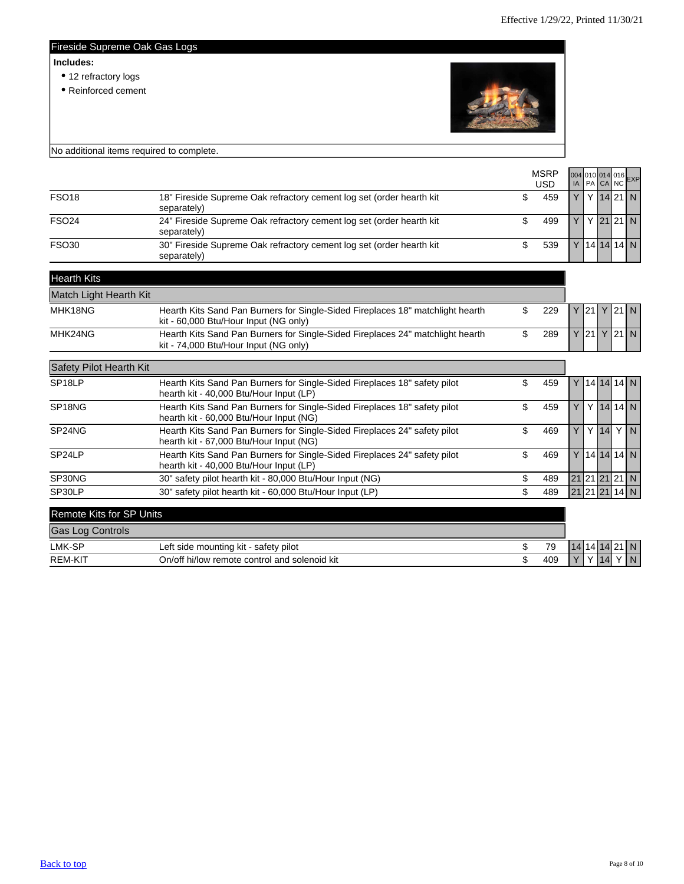### <span id="page-7-0"></span>Fireside Supreme Oak Gas Logs

#### **Includes:**

- 12 refractory logs
- Reinforced cement



|                          | No additional items required to complete.                                                                               |                           |    |               |          |                     |
|--------------------------|-------------------------------------------------------------------------------------------------------------------------|---------------------------|----|---------------|----------|---------------------|
|                          |                                                                                                                         | <b>MSRP</b><br><b>USD</b> | IA |               | PA CA NC | 004 010 014 016 EXP |
| <b>FSO18</b>             | 18" Fireside Supreme Oak refractory cement log set (order hearth kit<br>separately)                                     | \$<br>459                 | Y  |               |          | $Y$ 14 21 N         |
| <b>FSO24</b>             | 24" Fireside Supreme Oak refractory cement log set (order hearth kit<br>separately)                                     | \$<br>499                 | Y  |               |          | $Y$ 21 21 N         |
| <b>FSO30</b>             | 30" Fireside Supreme Oak refractory cement log set (order hearth kit<br>separately)                                     | \$<br>539                 |    |               |          | $Y$  14 14 14 N     |
| <b>Hearth Kits</b>       |                                                                                                                         |                           |    |               |          |                     |
| Match Light Hearth Kit   |                                                                                                                         |                           |    |               |          |                     |
| MHK18NG                  | Hearth Kits Sand Pan Burners for Single-Sided Fireplaces 18" matchlight hearth<br>kit - 60,000 Btu/Hour Input (NG only) | \$<br>229                 |    | $Y$ 21 Y      |          | 121N                |
| MHK24NG                  | Hearth Kits Sand Pan Burners for Single-Sided Fireplaces 24" matchlight hearth<br>kit - 74,000 Btu/Hour Input (NG only) | \$<br>289                 |    | $Y$ 21 Y      |          | 21 N                |
| Safety Pilot Hearth Kit  |                                                                                                                         |                           |    |               |          |                     |
| SP <sub>18LP</sub>       | Hearth Kits Sand Pan Burners for Single-Sided Fireplaces 18" safety pilot<br>hearth kit - 40,000 Btu/Hour Input (LP)    | \$<br>459                 |    |               |          | $Y$  14 14 14 N     |
| SP18NG                   | Hearth Kits Sand Pan Burners for Single-Sided Fireplaces 18" safety pilot<br>hearth kit - 60,000 Btu/Hour Input (NG)    | \$<br>459                 | Y  |               |          | $Y$ 14 14 N         |
| SP24NG                   | Hearth Kits Sand Pan Burners for Single-Sided Fireplaces 24" safety pilot<br>hearth kit - 67,000 Btu/Hour Input (NG)    | \$<br>469                 | Y  |               |          | $Y$ 14 $Y$ N        |
| SP <sub>24</sub> LP      | Hearth Kits Sand Pan Burners for Single-Sided Fireplaces 24" safety pilot<br>hearth kit - 40,000 Btu/Hour Input (LP)    | \$<br>469                 |    |               |          | $Y$  14 14 14 N     |
| SP30NG                   | 30" safety pilot hearth kit - 80,000 Btu/Hour Input (NG)                                                                | \$<br>489                 |    |               |          | 21 21 21 21 N       |
| SP30LP                   | 30" safety pilot hearth kit - 60,000 Btu/Hour Input (LP)                                                                | \$<br>489                 |    |               |          | 21 21 21 14 N       |
| Remote Kits for SP Units |                                                                                                                         |                           |    |               |          |                     |
| <b>Gas Log Controls</b>  |                                                                                                                         |                           |    |               |          |                     |
| LMK-SP                   | Left side mounting kit - safety pilot                                                                                   | \$<br>79                  |    | 14 14 14 21 N |          |                     |

| LMK-SP         | safety pilot<br>≒side mounting kit ⊦<br>∟ett  |  | 79         | $\prime$  |  |     |
|----------------|-----------------------------------------------|--|------------|-----------|--|-----|
| <b>REM-KIT</b> | On/off hi/low remote control and solenoid kit |  | 100<br>405 | $\sqrt{}$ |  | I N |
|                |                                               |  |            |           |  |     |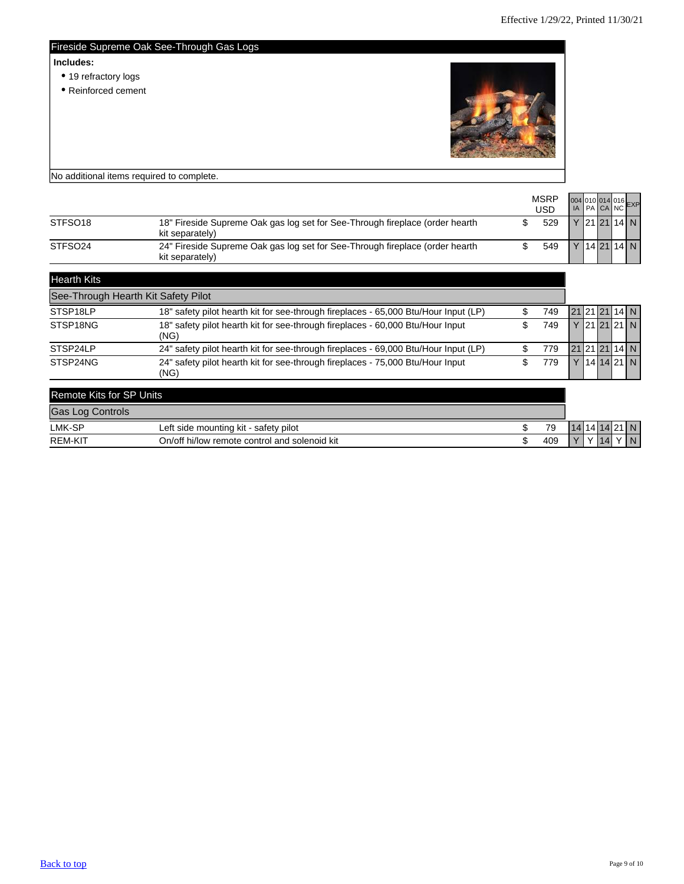<span id="page-8-0"></span>

|           | Fireside Supreme Oak See-Through Gas Logs                                            |                          |
|-----------|--------------------------------------------------------------------------------------|--------------------------|
| Includes: | • 19 refractory logs<br>• Reinforced cement                                          |                          |
|           | No additional items required to complete.                                            |                          |
|           | <b>MSRP</b><br><b>USD</b>                                                            | 004 010 014 016 EXP      |
| STES018   | 18" Fireside Supreme Oak ass log set for See-Through fireplace (order hearth)<br>529 | $V$   21   21   14   $N$ |

| STFSO <sub>18</sub> | 18" Fireside Supreme Oak gas log set for See-Through fireplace (order hearth<br>kit separately) |  | 529 |  | Y  21  21   14   N |  |
|---------------------|-------------------------------------------------------------------------------------------------|--|-----|--|--------------------|--|
| STFSO <sub>24</sub> | 24" Fireside Supreme Oak gas log set for See-Through fireplace (order hearth<br>kit separately) |  | 549 |  | 142114 N           |  |
| <b>Hearth Kits</b>  |                                                                                                 |  |     |  |                    |  |

|                                                            | See-Through Hearth Kit Safety Pilot                                                    |    |     |  |  |               |
|------------------------------------------------------------|----------------------------------------------------------------------------------------|----|-----|--|--|---------------|
| STSP18LP                                                   | 18" safety pilot hearth kit for see-through fireplaces - 65,000 Btu/Hour Input (LP)    |    | 749 |  |  | 21 21 21 14 N |
| STSP18NG                                                   | 18" safety pilot hearth kit for see-through fireplaces - 60,000 Btu/Hour Input<br>(NG) | \$ | 749 |  |  | Y 21 21 21 N  |
| STSP24LP                                                   | 24" safety pilot hearth kit for see-through fireplaces - 69,000 Btu/Hour Input (LP)    |    | 779 |  |  | 21 21 21 14 N |
| STSP24NG                                                   | 24" safety pilot hearth kit for see-through fireplaces - 75,000 Btu/Hour Input<br>(NG) | S  | 779 |  |  | 14 14 21 N    |
| <b>Remote Kits for SP Units</b><br><b>Gas Log Controls</b> |                                                                                        |    |     |  |  |               |

| LMK-SP                 | safety pilot<br>∟eft<br>mounting kit<br>side           | 70  |           | ▫ |     | -N- |
|------------------------|--------------------------------------------------------|-----|-----------|---|-----|-----|
| <b>REM-KIT</b><br>7 M. | On/off hi/low<br>solenoid kit<br>control and<br>remote | 409 | $\sqrt{}$ |   | 17I | N   |